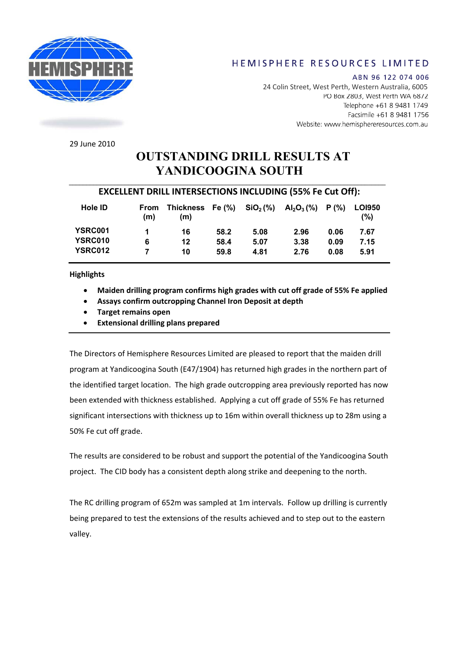

## HEMISPHERE RESOURCES LIMITED

ABN 96 122 074 006 24 Colin Street, West Perth, Western Australia, 6005PO Box 2803, West Perth WA 6872 Telephone +61 8 9481 1749 Facsimile +61 8 9481 1756 Website: www.hemisphereresources.com.au

29 June 2010

# **OUTSTANDING DRILL RESULTS AT YANDICOOGINA SOUTH**

### **EXCELLENT DRILL INTERSECTIONS INCLUDING (55% Fe Cut Off):**

| Hole <b>ID</b> | From<br>(m) | Thickness<br>(m) | Fe (%) | $\text{SiO}_2$ (%) | $\mathsf{Al}_2\mathsf{O}_3\,(\%)$ | P (%) | <b>LOI950</b><br>(%) |
|----------------|-------------|------------------|--------|--------------------|-----------------------------------|-------|----------------------|
| YSRC001        |             | 16               | 58.2   | 5.08               | 2.96                              | 0.06  | 7.67                 |
| YSRC010        | 6           | 12               | 58.4   | 5.07               | 3.38                              | 0.09  | 7.15                 |
| <b>YSRC012</b> |             | 10               | 59.8   | 4.81               | 2.76                              | 0.08  | 5.91                 |

**Highlights** 

- **Maiden drilling program confirms high grades with cut off grade of 55% Fe applied**
- **Assays confirm outcropping Channel Iron Deposit at depth**
- **Target remains open**
- **Extensional drilling plans prepared**

The Directors of Hemisphere Resources Limited are pleased to report that the maiden drill program at Yandicoogina South (E47/1904) has returned high grades in the northern part of the identified target location. The high grade outcropping area previously reported has now been extended with thickness established. Applying a cut off grade of 55% Fe has returned significant intersections with thickness up to 16m within overall thickness up to 28m using a 50% Fe cut off grade.

The results are considered to be robust and support the potential of the Yandicoogina South project. The CID body has a consistent depth along strike and deepening to the north.

The RC drilling program of 652m was sampled at 1m intervals. Follow up drilling is currently being prepared to test the extensions of the results achieved and to step out to the eastern valley.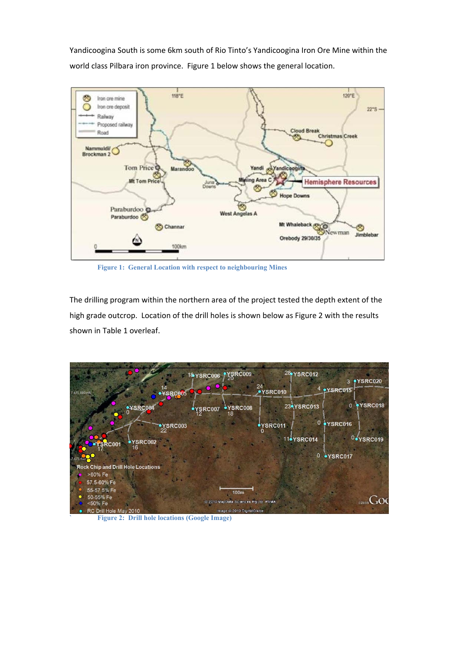Yandicoogina South is some 6km south of Rio Tinto's Yandicoogina Iron Ore Mine within the world class Pilbara iron province. Figure 1 below shows the general location.



**Figure 1: General Location with respect to neighbouring Mines** 

The drilling program within the northern area of the project tested the depth extent of the high grade outcrop. Location of the drill holes is shown below as Figure 2 with the results shown in Table 1 overleaf.



**` Figure 2: Drill hole locations (Google Image)**